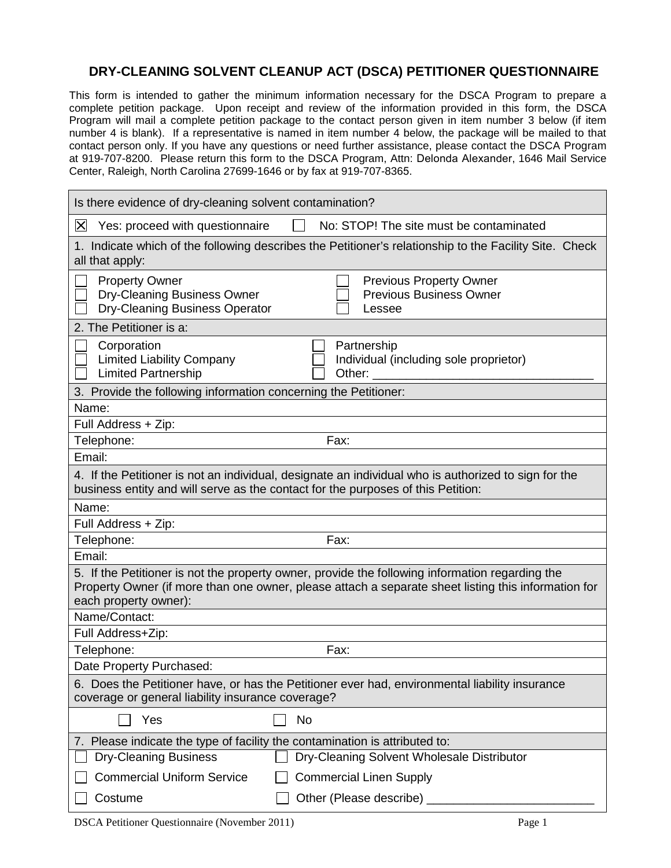## **DRY-CLEANING SOLVENT CLEANUP ACT (DSCA) PETITIONER QUESTIONNAIRE**

This form is intended to gather the minimum information necessary for the DSCA Program to prepare a complete petition package. Upon receipt and review of the information provided in this form, the DSCA Program will mail a complete petition package to the contact person given in item number 3 below (if item number 4 is blank). If a representative is named in item number 4 below, the package will be mailed to that contact person only. If you have any questions or need further assistance, please contact the DSCA Program at 919-707-8200. Please return this form to the DSCA Program, Attn: Delonda Alexander, 1646 Mail Service Center, Raleigh, North Carolina 27699-1646 or by fax at 919-707-8365.

| Is there evidence of dry-cleaning solvent contamination?                                                                                                                                                                        |
|---------------------------------------------------------------------------------------------------------------------------------------------------------------------------------------------------------------------------------|
| $\boxtimes$<br>Yes: proceed with questionnaire<br>No: STOP! The site must be contaminated                                                                                                                                       |
| 1. Indicate which of the following describes the Petitioner's relationship to the Facility Site. Check<br>all that apply:                                                                                                       |
| <b>Property Owner</b><br><b>Previous Property Owner</b><br>Dry-Cleaning Business Owner<br><b>Previous Business Owner</b><br>Dry-Cleaning Business Operator<br>Lessee                                                            |
| 2. The Petitioner is a:                                                                                                                                                                                                         |
| Corporation<br>Partnership<br><b>Limited Liability Company</b><br>Individual (including sole proprietor)<br><b>Limited Partnership</b><br>Other: $\_\_$                                                                         |
| 3. Provide the following information concerning the Petitioner:                                                                                                                                                                 |
| Name:                                                                                                                                                                                                                           |
| Full Address + Zip:                                                                                                                                                                                                             |
| Telephone:<br>Fax:                                                                                                                                                                                                              |
| Email:                                                                                                                                                                                                                          |
| 4. If the Petitioner is not an individual, designate an individual who is authorized to sign for the<br>business entity and will serve as the contact for the purposes of this Petition:                                        |
| Name:                                                                                                                                                                                                                           |
| Full Address + Zip:                                                                                                                                                                                                             |
| Telephone:<br>Fax:                                                                                                                                                                                                              |
| Email:                                                                                                                                                                                                                          |
| 5. If the Petitioner is not the property owner, provide the following information regarding the<br>Property Owner (if more than one owner, please attach a separate sheet listing this information for<br>each property owner): |
| Name/Contact:                                                                                                                                                                                                                   |
| Full Address+Zip:                                                                                                                                                                                                               |
| Fax:<br>Telephone:                                                                                                                                                                                                              |
| Date Property Purchased:                                                                                                                                                                                                        |
| 6. Does the Petitioner have, or has the Petitioner ever had, environmental liability insurance<br>coverage or general liability insurance coverage?                                                                             |
| <b>No</b><br>Yes                                                                                                                                                                                                                |
| 7. Please indicate the type of facility the contamination is attributed to:                                                                                                                                                     |
| <b>Dry-Cleaning Business</b><br>Dry-Cleaning Solvent Wholesale Distributor                                                                                                                                                      |
|                                                                                                                                                                                                                                 |
| <b>Commercial Uniform Service</b><br><b>Commercial Linen Supply</b>                                                                                                                                                             |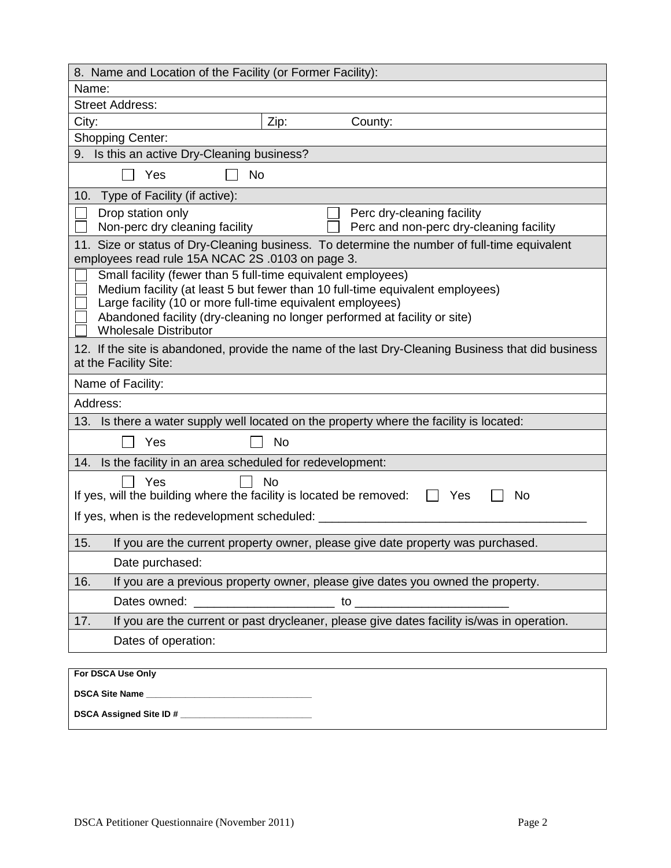| 8. Name and Location of the Facility (or Former Facility):                                                                                                                                                                                                                                                               |
|--------------------------------------------------------------------------------------------------------------------------------------------------------------------------------------------------------------------------------------------------------------------------------------------------------------------------|
| Name:                                                                                                                                                                                                                                                                                                                    |
| <b>Street Address:</b>                                                                                                                                                                                                                                                                                                   |
| Zip:<br>City:<br>County:                                                                                                                                                                                                                                                                                                 |
| <b>Shopping Center:</b>                                                                                                                                                                                                                                                                                                  |
| 9. Is this an active Dry-Cleaning business?                                                                                                                                                                                                                                                                              |
| Yes<br><b>No</b>                                                                                                                                                                                                                                                                                                         |
| Type of Facility (if active):<br>10.                                                                                                                                                                                                                                                                                     |
| Perc dry-cleaning facility<br>Drop station only<br>Perc and non-perc dry-cleaning facility<br>Non-perc dry cleaning facility                                                                                                                                                                                             |
| 11. Size or status of Dry-Cleaning business. To determine the number of full-time equivalent<br>employees read rule 15A NCAC 2S .0103 on page 3.                                                                                                                                                                         |
| Small facility (fewer than 5 full-time equivalent employees)<br>Medium facility (at least 5 but fewer than 10 full-time equivalent employees)<br>Large facility (10 or more full-time equivalent employees)<br>Abandoned facility (dry-cleaning no longer performed at facility or site)<br><b>Wholesale Distributor</b> |
| 12. If the site is abandoned, provide the name of the last Dry-Cleaning Business that did business<br>at the Facility Site:                                                                                                                                                                                              |
| Name of Facility:                                                                                                                                                                                                                                                                                                        |
| Address:                                                                                                                                                                                                                                                                                                                 |
| 13.<br>Is there a water supply well located on the property where the facility is located:                                                                                                                                                                                                                               |
| Yes<br><b>No</b>                                                                                                                                                                                                                                                                                                         |
| 14. Is the facility in an area scheduled for redevelopment:                                                                                                                                                                                                                                                              |
| Yes<br><b>No</b><br>If yes, will the building where the facility is located be removed:<br>No<br>Yes                                                                                                                                                                                                                     |
| If yes, when is the redevelopment scheduled: ___                                                                                                                                                                                                                                                                         |
| 15.<br>If you are the current property owner, please give date property was purchased.                                                                                                                                                                                                                                   |
| Date purchased:                                                                                                                                                                                                                                                                                                          |
| If you are a previous property owner, please give dates you owned the property.<br>16.                                                                                                                                                                                                                                   |
|                                                                                                                                                                                                                                                                                                                          |
| If you are the current or past drycleaner, please give dates facility is/was in operation.<br>17.                                                                                                                                                                                                                        |
| Dates of operation:                                                                                                                                                                                                                                                                                                      |
| For DSCA Use Only                                                                                                                                                                                                                                                                                                        |
|                                                                                                                                                                                                                                                                                                                          |
|                                                                                                                                                                                                                                                                                                                          |
|                                                                                                                                                                                                                                                                                                                          |